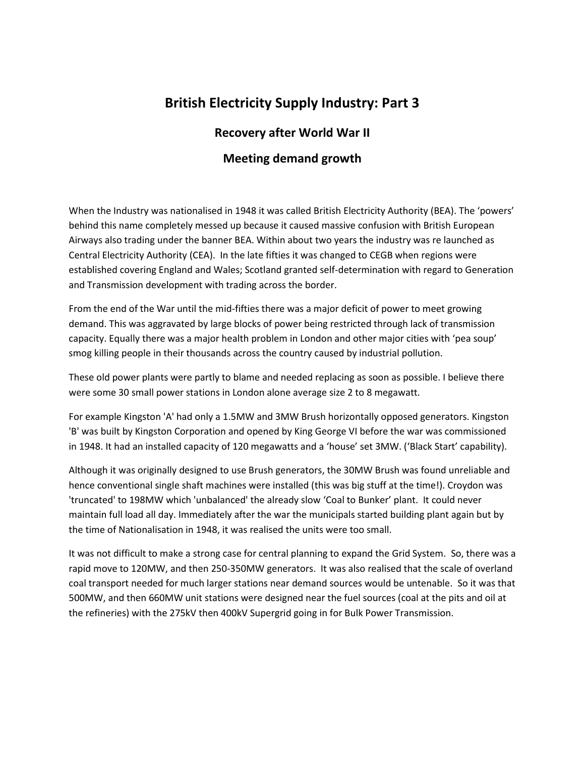## **British Electricity Supply Industry: Part 3**

## **Recovery after World War II**

## **Meeting demand growth**

When the Industry was nationalised in 1948 it was called British Electricity Authority (BEA). The 'powers' behind this name completely messed up because it caused massive confusion with British European Airways also trading under the banner BEA. Within about two years the industry was re launched as Central Electricity Authority (CEA). In the late fifties it was changed to CEGB when regions were established covering England and Wales; Scotland granted self-determination with regard to Generation and Transmission development with trading across the border.

From the end of the War until the mid-fifties there was a major deficit of power to meet growing demand. This was aggravated by large blocks of power being restricted through lack of transmission capacity. Equally there was a major health problem in London and other major cities with 'pea soup' smog killing people in their thousands across the country caused by industrial pollution.

These old power plants were partly to blame and needed replacing as soon as possible. I believe there were some 30 small power stations in London alone average size 2 to 8 megawatt.

For example Kingston 'A' had only a 1.5MW and 3MW Brush horizontally opposed generators. Kingston 'B' was built by Kingston Corporation and opened by King George VI before the war was commissioned in 1948. It had an installed capacity of 120 megawatts and a 'house' set 3MW. ('Black Start' capability).

Although it was originally designed to use Brush generators, the 30MW Brush was found unreliable and hence conventional single shaft machines were installed (this was big stuff at the time!). Croydon was 'truncated' to 198MW which 'unbalanced' the already slow 'Coal to Bunker' plant. It could never maintain full load all day. Immediately after the war the municipals started building plant again but by the time of Nationalisation in 1948, it was realised the units were too small.

It was not difficult to make a strong case for central planning to expand the Grid System. So, there was a rapid move to 120MW, and then 250-350MW generators. It was also realised that the scale of overland coal transport needed for much larger stations near demand sources would be untenable. So it was that 500MW, and then 660MW unit stations were designed near the fuel sources (coal at the pits and oil at the refineries) with the 275kV then 400kV Supergrid going in for Bulk Power Transmission.